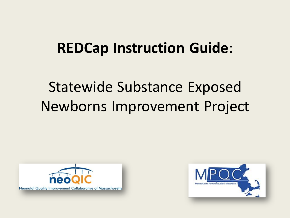### **REDCap Instruction Guide**:

### Statewide Substance Exposed Newborns Improvement Project



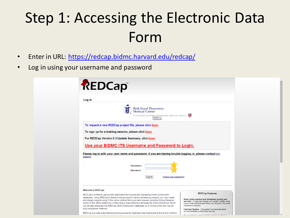# Step 1: Accessing the Electronic Data Form

- Enter in URL: <https://redcap.bidmc.harvard.edu/redcap/>
- Log in using your username and password

| REDCap                                                                                                                                                                                                                                                                                                                                                                                                                                                                                                     |                                                                                                                                                                                                                       |
|------------------------------------------------------------------------------------------------------------------------------------------------------------------------------------------------------------------------------------------------------------------------------------------------------------------------------------------------------------------------------------------------------------------------------------------------------------------------------------------------------------|-----------------------------------------------------------------------------------------------------------------------------------------------------------------------------------------------------------------------|
| Log In                                                                                                                                                                                                                                                                                                                                                                                                                                                                                                     |                                                                                                                                                                                                                       |
| Beth Israel Deaconess<br>Medical Center<br>A TEACHING HOSPITAL OF HARVARD MEDICAL SCHOOL<br><b>BIDMC</b>                                                                                                                                                                                                                                                                                                                                                                                                   |                                                                                                                                                                                                                       |
| To request a new REDCap project file, please click here                                                                                                                                                                                                                                                                                                                                                                                                                                                    |                                                                                                                                                                                                                       |
| To sign up for a training session, please click here                                                                                                                                                                                                                                                                                                                                                                                                                                                       |                                                                                                                                                                                                                       |
| For REDCap Version 6.3 Update Summary, click here                                                                                                                                                                                                                                                                                                                                                                                                                                                          |                                                                                                                                                                                                                       |
| Use your BIDMC ITS Username and Password to Login.                                                                                                                                                                                                                                                                                                                                                                                                                                                         |                                                                                                                                                                                                                       |
| Please log in with your user name and password. If you are having trouble logging in, please contact EDC                                                                                                                                                                                                                                                                                                                                                                                                   |                                                                                                                                                                                                                       |
| Support.<br>Username:<br>Password:                                                                                                                                                                                                                                                                                                                                                                                                                                                                         |                                                                                                                                                                                                                       |
| Log In<br>Forgot your password?                                                                                                                                                                                                                                                                                                                                                                                                                                                                            |                                                                                                                                                                                                                       |
| <b>Welcome to REDCap!</b>                                                                                                                                                                                                                                                                                                                                                                                                                                                                                  |                                                                                                                                                                                                                       |
| REDCap is a mature, secure web application for building and managing online surveys and<br>databases. Using REDCap's stream-lined process for rapidly developing projects, you may create<br>and design projects using 1) the online method from your web browser using the Online Designer;<br>and/or 2) the offline method by constructing a 'data dictionary' template file in Microsoft Excel, which<br>can be later uploaded into REDCap. Both surveys and databases (or a mixture of the two) can be | <b>REDCap Features</b><br>Build online surveys and databases quickly and<br>securely - Create and design your project rapidly using<br>secure web authentication from your browser. No extra<br>software is required. |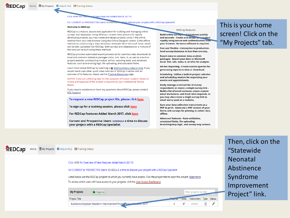Click HERE for Overy of New Features Added March 2017!!!

For CURRENT or PROSPECTIVE Users: SCHEDULE of the discuss your project with a REDCap Specialist

### **Welcome to REDCap!**

REDCap is a mature, secure web application for building and managing online surveys and databases. Using REDCap's stream-lined process for rapidly developing projects, you may create and design projects using 1) the online method from your web browser using the Online Designer; and/or 2) the offline method by constructing a 'data dictionary' template file in Microsoft Excel, which can be later uploaded into REDCap. Both surveys and databases (or a mixture of the two) can be built using these methods.

REDCap provides automated export procedures for seamless data downloads to Excel and common statistical packages (SPSS, SAS, Stata, R), as well as a built-in project calendar, a scheduling module, ad hoc reporting tools, and advanced features, such as branching logic, file uploading, and calculated fields.

Learn more about REDCap by watching a @ brief summary video (4 min). If you would like to view other quick video tutorials of REDCap in action and an overview of its features, please see the Training Resources page.

NOTICE: If you are collecting data for the purposes of human subjects research, review and approval of the project is required by your Institutional Review Board.

If you require assistance or have any questions about REDCap, please contact **EDC Support.** 

To request a new REDCap project file, please click here

To sign up for a training session, please click here

For REDCap Features Added March 2017, click here

Current and Prospective Users: SCHEDULE a time to discuss your project with a REDCap Specialist

### **REDCap Features**

**Build online surveys and databases quickly** and securely - Create and design your project rapidly using secure web authentication from your browser. No extra software is required.

Fast and flexible - Conception to productionlevel survey/database in less than one day.

**Export data to common data analysis** packages - Export your data to Microsoft Excel, PDF, SAS, Stata, R, or SPSS for analysis.

Ad Hoc Reporting - Create custom queries for generating reports to view or download.

Scheduling - Utilize a built-in project calendar and scheduling module for organizing your events and appointments.

Easily manage a contact list of survey respondents or create a simple survey link -**Build a list of email contacts, create custom** email invitations, and track who responds, or you may also create a single survey link to email out or post on a website.

Save your data collection instruments as a PDF to print - Generate a PDF version of your forms and surveys for printing to collect data offline.

**Advanced features - Auto-validation.** calculated fields, file uploading, branching/skip logic, and survey stop actions.

and the

This is your home screen! Click on the "My Projects" tab.

REDCAD" Home EMy Projects O Help & FAQ El Training Videos

### Click HERE for Overview of New Features Added March 2017!!!

### For CURRENT or PROSPECTIVE Users: SCHEDULE a time to discuss your project with a REDCap Specialist

Listed below are the REDCap projects to which you currently have access. Click the project title to open the project. Read more To review which users still have access to your projects, visit the User Access Dashboard.

| <b>My Projects</b> | Organize                                                          |  | Filter projects by title                     |  |
|--------------------|-------------------------------------------------------------------|--|----------------------------------------------|--|
| Project Title      |                                                                   |  | <b>Records Fields</b> Instrument Type Status |  |
|                    | Substance-Exposed Newborn Improvement Project, Massachuseus, 2017 |  | 2 forms                                      |  |

Then, click on the "Statewide Neonatal Abstinence Syndrome Improvement Project" link.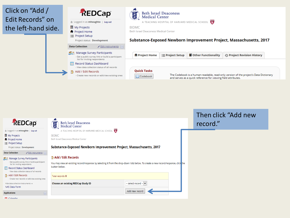

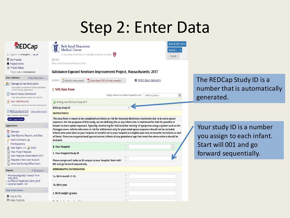### Step 2: Enter Data

| <b>REDCap</b>                                                                                                           | <b>Beth Israel Deaconess</b><br><b>Medical Center</b>                                                                                                                                                                                                                                                                                                                                       | Save & Exit Form<br>Save &                                        |                                                         |
|-------------------------------------------------------------------------------------------------------------------------|---------------------------------------------------------------------------------------------------------------------------------------------------------------------------------------------------------------------------------------------------------------------------------------------------------------------------------------------------------------------------------------------|-------------------------------------------------------------------|---------------------------------------------------------|
| 鱼 Logged in as mhoughto   Log out                                                                                       | A TEACHING HOSPITAL OF HARVARD MEDICAL SCHOOL                                                                                                                                                                                                                                                                                                                                               | -- Cancel --                                                      |                                                         |
| 图 My Projects                                                                                                           | <b>BIDMC</b>                                                                                                                                                                                                                                                                                                                                                                                |                                                                   |                                                         |
| <b>A</b> Project Home                                                                                                   | <b>Beth Israel Deaconess Medical Center</b>                                                                                                                                                                                                                                                                                                                                                 |                                                                   |                                                         |
| E Project Setup                                                                                                         |                                                                                                                                                                                                                                                                                                                                                                                             |                                                                   |                                                         |
| Project status: Development                                                                                             | Substance-Exposed Newborn Improvement Project, Massachusetts, 2017                                                                                                                                                                                                                                                                                                                          |                                                                   |                                                         |
| <b>Data Collection</b><br>Edit instruments                                                                              | Actions: Modify instrument<br>$\mathbb{Z}$ Download PDF of instrument(s) $\heartsuit$                                                                                                                                                                                                                                                                                                       | VIDEO: Basic data entry                                           | The REDCap Study ID is a                                |
| <b>Manage Survey Participants</b><br>- Get a public survey link or build a participant<br>list for inviting respondents | NAS Data Form                                                                                                                                                                                                                                                                                                                                                                               |                                                                   | number that is automatically                            |
| Record Status Dashboard<br>View data collection status of all records                                                   |                                                                                                                                                                                                                                                                                                                                                                                             | Assign record to a Data Access Group?   -- select a group --<br>× | generated.                                              |
| B Add / Edit Records                                                                                                    | Adding new REDCap Study ID 1                                                                                                                                                                                                                                                                                                                                                                |                                                                   |                                                         |
| - Create new records or edit/view existing ones                                                                         | <b>REDCap Study ID</b>                                                                                                                                                                                                                                                                                                                                                                      |                                                                   |                                                         |
| REDCap Study ID 1<br>Select other record<br><b>Data Collection Instruments:</b>                                         | <b>INSTRUCTIONS</b>                                                                                                                                                                                                                                                                                                                                                                         |                                                                   |                                                         |
| NAS Data Form                                                                                                           | This data form is meant to be completed on infants at risk for Neonatal Abstinence Syndrome due to in-utero opiate                                                                                                                                                                                                                                                                          |                                                                   |                                                         |
| <b>Applications</b><br>$\Box$                                                                                           | exposure. For the purposes of this study, we are defining this as any infant who is monitored for NAS for possible or<br>known in-utero opiate exposure. Typically, monitoring for NAS includes 'scoring' of symptoms using a system such as the                                                                                                                                            |                                                                   |                                                         |
| 31 Calendar<br>Data Exports, Reports, and Stats<br><b>Field Comment Log</b>                                             | Finnegan score. Infants who were at risk for withdrawal only for post-natal opiate exposure should not be included.<br>Infants who were born at your hospital or transferred to your hospital are eligible (see note on transferred infants at end<br>of form). There are no gestational age exclusions; infants of any gestational age that meet the above criteria should be<br>included. |                                                                   | Your study ID is a number<br>you assign to each infant. |
| <b>File Repository</b><br><b>A</b> User Rights and <b>B</b> DAGs                                                        | <b>B. Your Hospital</b>                                                                                                                                                                                                                                                                                                                                                                     | $\bigtriangledown$                                                | Start will 001 and go                                   |
| New Project Request<br>New Features Added March 2017                                                                    | <b>C. Your Hospital Study ID</b>                                                                                                                                                                                                                                                                                                                                                            |                                                                   | forward sequentially.                                   |
| Request a New User Account<br><b>Book Slot During Office Hours</b>                                                      | Please assign each baby an ID unique to your hospital. Start with<br>001 and go forward sequentially.                                                                                                                                                                                                                                                                                       |                                                                   |                                                         |
| $\angle$ Edit reports<br><b>Reports</b>                                                                                 | <b>DEMOGRAPHIC INFORMATION</b>                                                                                                                                                                                                                                                                                                                                                              |                                                                   |                                                         |
| 1) Pharmacologically Treated Term<br>only WHE                                                                           | 1a. Birth month (1-12)                                                                                                                                                                                                                                                                                                                                                                      |                                                                   |                                                         |
| 2) No Pharm Treatment_Term_WHE<br>3) Cardinal Health - NH                                                               | 1b. Birth year                                                                                                                                                                                                                                                                                                                                                                              |                                                                   |                                                         |
| <b>Help &amp; Information</b>                                                                                           | 2. Birth weight (grams)                                                                                                                                                                                                                                                                                                                                                                     |                                                                   |                                                         |
| <b>O</b> Help & FAO                                                                                                     |                                                                                                                                                                                                                                                                                                                                                                                             |                                                                   |                                                         |
| <b>H</b> Video Tutorials                                                                                                |                                                                                                                                                                                                                                                                                                                                                                                             |                                                                   |                                                         |
|                                                                                                                         |                                                                                                                                                                                                                                                                                                                                                                                             |                                                                   |                                                         |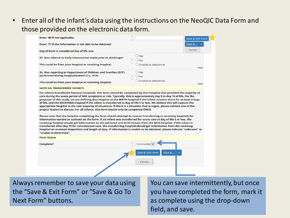• Enter all of the infant's data using the instructions on the NeoQIC Data Form and those provided on the electronic data form.

| Enter -99 if not applicable.                                                                                                                                                                                                                                                                                                                                                                                                                                                                                                                                                                                                                                                                                                           | U                                                                                                                                                 | Save & Exit Form |
|----------------------------------------------------------------------------------------------------------------------------------------------------------------------------------------------------------------------------------------------------------------------------------------------------------------------------------------------------------------------------------------------------------------------------------------------------------------------------------------------------------------------------------------------------------------------------------------------------------------------------------------------------------------------------------------------------------------------------------------|---------------------------------------------------------------------------------------------------------------------------------------------------|------------------|
| Enter -77 if the information is not able to be obtained.                                                                                                                                                                                                                                                                                                                                                                                                                                                                                                                                                                                                                                                                               |                                                                                                                                                   | Save &           |
| Day of birth is considered day of life one.                                                                                                                                                                                                                                                                                                                                                                                                                                                                                                                                                                                                                                                                                            |                                                                                                                                                   | -- Cancel --     |
| 23. Was referral to Early Intervention made prior to discharge?                                                                                                                                                                                                                                                                                                                                                                                                                                                                                                                                                                                                                                                                        | $\bigcirc$ Yes<br>⊕<br>$O$ <sub>No</sub><br>0                                                                                                     |                  |
| This could be from your hospital or receiving hospital.                                                                                                                                                                                                                                                                                                                                                                                                                                                                                                                                                                                                                                                                                | $\bigcirc$ Unable to determine                                                                                                                    | reset            |
| 24. Was reporting to Department of Children and Families (DCF)<br>performed during hospitalization? (i.e., 51A)                                                                                                                                                                                                                                                                                                                                                                                                                                                                                                                                                                                                                        | O Yes<br>$\begin{array}{c} \begin{array}{c} \begin{array}{c} \end{array} \end{array} \end{array}$<br>$O$ <sub>No</sub><br>$\displaystyle\bigcirc$ |                  |
| This could be from your hospital or receiving hospital.                                                                                                                                                                                                                                                                                                                                                                                                                                                                                                                                                                                                                                                                                | $\bigcirc$ Unable to determine                                                                                                                    | reset            |
| <b>NOTE ON TRANSFERRED INFANTS</b>                                                                                                                                                                                                                                                                                                                                                                                                                                                                                                                                                                                                                                                                                                     |                                                                                                                                                   |                  |
| For infants transferred between hospitals, this form should be completed by that hospital that provided the majority of<br>care during the acute period of NAS symptoms or risk. Typically, this is approximately day 3 to day 10 of life. For the<br>purposes of this study, we are defining that hospital as the BIRTH hospital if the infant remains there for at least 5 days<br>of life, and the RECEIVING hospital if the infant is transferred at day of life 5 or less. We believe this will capture the<br>appropriate hospital in the vast majority of situations. If there is a situation that is vague, please contact one of the<br>project leaders to discuss. For all infants, this form should only be completed ONCE. |                                                                                                                                                   |                  |
| Please note that the hospital completing the form should attempt to contact transferring or receiving hospitals for<br>information needed as outlined on the form. If an infant was transferred for acute care at day of life 5 or less, the<br>receiving hospital should get information on the perinatal and birth history from the birth hospital. If the infant is<br>transferred after day 10 for convalescent care, the transferring hospital should get information from the receiving<br>hospital on eventual disposition and length of stay. If information is unable to be obtained, please indicate "unknown" or<br>"unable to determine".                                                                                  |                                                                                                                                                   |                  |
| <b>Form Status</b>                                                                                                                                                                                                                                                                                                                                                                                                                                                                                                                                                                                                                                                                                                                     |                                                                                                                                                   |                  |
| <b>Complete?</b>                                                                                                                                                                                                                                                                                                                                                                                                                                                                                                                                                                                                                                                                                                                       | $\oplus$<br>Incomplete                                                                                                                            |                  |

Always remember to save your data using the "Save & Exit Form" or "Save & Go To Next Form" buttons.

You can save intermittently, but once you have completed the form, mark it as complete using the drop-down field, and save.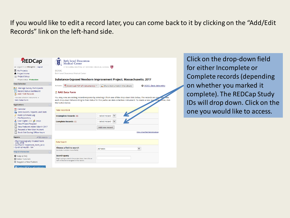If you would like to edit a record later, you can come back to it by clicking on the "Add/Edit Records" link on the left-hand side.



Click on the drop-down field for either Incomplete or Complete records (depending on whether you marked it complete). The REDCap Study IDs will drop down. Click on the one you would like to access.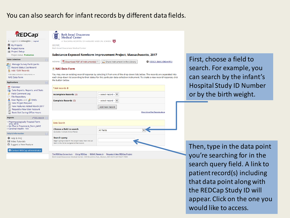### You can also search for infant records by different data fields.



的

的

The REDCap Consortium | Citing REDCap | BIDMC Research | Request A New REDCap Project Beth Israel Deaconess Medical Center, 330 Brookline Ave., Boston, MA 02215 (617)667-7000

First, choose a field to search. For example, you can search by the infant's Hospital Study ID Number or by the birth weight.

VIDEO: Basic data entry

Show Unverified Records above

Then, type in the data point you're searching for in the search query field. A link to patient record(s) including that data point along with the REDCap Study ID will appear. Click on the one you would like to access.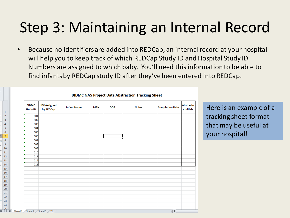### Step 3: Maintaining an Internal Record

• Because no identifiers are added into REDCap, an internal record at your hospital will help you to keep track of which REDCap Study ID and Hospital Study ID Numbers are assigned to which baby. You'll need this information to be able to find infants by REDCap study ID after they've been entered into REDCap.

| <b>BIDMC</b><br><b>Study ID</b> | <b>ID# Assigned</b><br>by REDCap | <b>Infant Name</b> | <b>MRN</b> | <b>DOB</b> | <b>Notes</b> | <b>Completion Date</b> | <b>Abstracto</b><br>r Initials |
|---------------------------------|----------------------------------|--------------------|------------|------------|--------------|------------------------|--------------------------------|
| 001                             |                                  |                    |            |            |              |                        |                                |
| 002                             |                                  |                    |            |            |              |                        |                                |
| 003                             |                                  |                    |            |            |              |                        |                                |
| 004                             |                                  |                    |            |            |              |                        |                                |
| 005                             |                                  |                    |            |            |              |                        |                                |
| 006                             |                                  |                    |            |            |              |                        |                                |
| 007                             |                                  |                    |            |            |              |                        |                                |
| 008                             |                                  |                    |            |            |              |                        |                                |
| 009                             |                                  |                    |            |            |              |                        |                                |
| 010                             |                                  |                    |            |            |              |                        |                                |
| 011                             |                                  |                    |            |            |              |                        |                                |
| 012                             |                                  |                    |            |            |              |                        |                                |
| 013                             |                                  |                    |            |            |              |                        |                                |
|                                 |                                  |                    |            |            |              |                        |                                |
|                                 |                                  |                    |            |            |              |                        |                                |
|                                 |                                  |                    |            |            |              |                        |                                |
|                                 |                                  |                    |            |            |              |                        |                                |
|                                 |                                  |                    |            |            |              |                        |                                |
|                                 |                                  |                    |            |            |              |                        |                                |
|                                 |                                  |                    |            |            |              |                        |                                |
|                                 |                                  |                    |            |            |              |                        |                                |
|                                 |                                  |                    |            |            |              |                        |                                |
|                                 |                                  |                    |            |            |              |                        |                                |

**BIDMC NAS Project Data Abstraction Tracking Sheet** 

Here is an example of a tracking sheet format that may be useful at your hospital!

 $\frac{1}{2}$